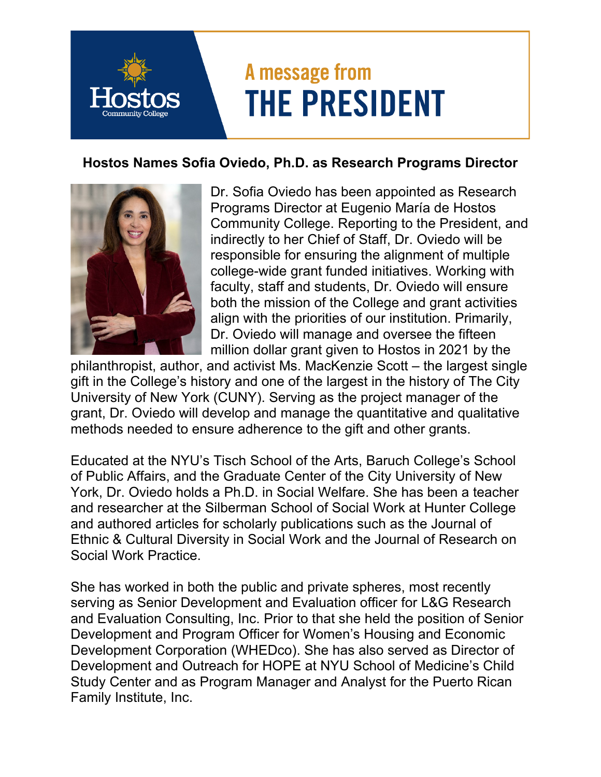## A message from **THE PRESIDENT**

## **Hostos Names Sofia Oviedo, Ph.D. as Research Programs Director**



Dr. Sofia Oviedo has been appointed as Research Programs Director at Eugenio María de Hostos Community College. Reporting to the President, and indirectly to her Chief of Staff, Dr. Oviedo will be responsible for ensuring the alignment of multiple college-wide grant funded initiatives. Working with faculty, staff and students, Dr. Oviedo will ensure both the mission of the College and grant activities align with the priorities of our institution. Primarily, Dr. Oviedo will manage and oversee the fifteen million dollar grant given to Hostos in 2021 by the

philanthropist, author, and activist Ms. MacKenzie Scott – the largest single gift in the College's history and one of the largest in the history of The City University of New York (CUNY). Serving as the project manager of the grant, Dr. Oviedo will develop and manage the quantitative and qualitative methods needed to ensure adherence to the gift and other grants.

Educated at the NYU's Tisch School of the Arts, Baruch College's School of Public Affairs, and the Graduate Center of the City University of New York, Dr. Oviedo holds a Ph.D. in Social Welfare. She has been a teacher and researcher at the Silberman School of Social Work at Hunter College and authored articles for scholarly publications such as the Journal of Ethnic & Cultural Diversity in Social Work and the Journal of Research on Social Work Practice.

She has worked in both the public and private spheres, most recently serving as Senior Development and Evaluation officer for L&G Research and Evaluation Consulting, Inc. Prior to that she held the position of Senior Development and Program Officer for Women's Housing and Economic Development Corporation (WHEDco). She has also served as Director of Development and Outreach for HOPE at NYU School of Medicine's Child Study Center and as Program Manager and Analyst for the Puerto Rican Family Institute, Inc.